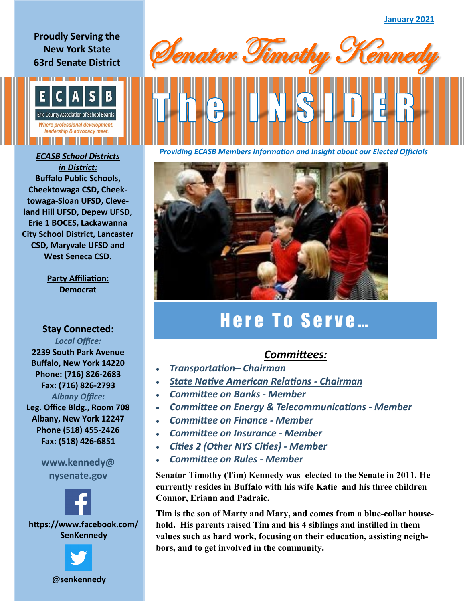**Proudly Serving the New York State 63rd Senate District**



*in District:* **Buffalo Public Schools, Cheektowaga CSD, Cheektowaga-Sloan UFSD, Cleveland Hill UFSD, Depew UFSD, Erie 1 BOCES, Lackawanna City School District, Lancaster CSD, Maryvale UFSD and West Seneca CSD.**

> **Party Affiliation: Democrat**

## **Stay Connected:**  *Local Office:*

**2239 South Park Avenue Buffalo, New York 14220 Phone: (716) 826-2683 Fax: (716) 826-2793** *Albany Office:*  **Leg. Office Bldg., Room 708 Albany, New York 12247 Phone (518) 455-2426 Fax: (518) 426-6851**

> **www.kennedy@ nysenate.gov**



**https://www.facebook.com/ SenKennedy**





*Providing ECASB Members Information and Insight about our Elected Officials ECASB School Districts* 



## Here To Serve...

## *Committees:*

- *Transportation– Chairman*
- *State Native American Relations - Chairman*
- *Committee on Banks - Member*
- *Committee on Energy & Telecommunications - Member*
- *Committee on Finance - Member*
- *Committee on Insurance - Member*
- *Cities 2 (Other NYS Cities) - Member*
- *Committee on Rules - Member*

**Senator Timothy (Tim) Kennedy was elected to the Senate in 2011. He currently resides in Buffalo with his wife Katie and his three children Connor, Eriann and Padraic.** 

**Tim is the son of Marty and Mary, and comes from a blue-collar household. His parents raised Tim and his 4 siblings and instilled in them values such as hard work, focusing on their education, assisting neighbors, and to get involved in the community.**